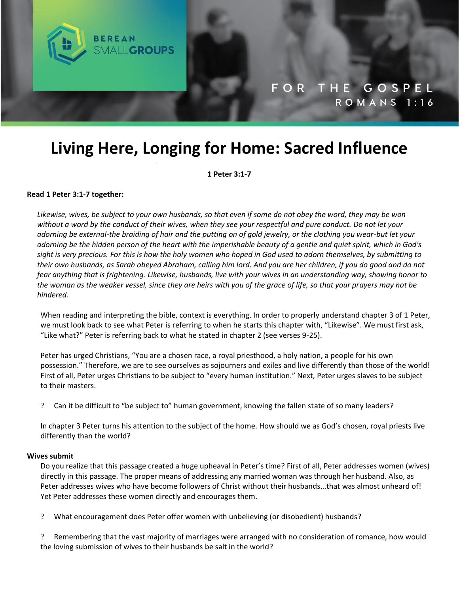

# **Living Here, Longing for Home: Sacred Influence**

**1 Peter 3:1-7**

#### **Read 1 Peter 3:1-7 together:**

*Likewise, wives, be subject to your own husbands, so that even if some do not obey the word, they may be won without a word by the conduct of their wives, when they see your respectful and pure conduct. Do not let your adorning be external-the braiding of hair and the putting on of gold jewelry, or the clothing you wear-but let your adorning be the hidden person of the heart with the imperishable beauty of a gentle and quiet spirit, which in God's sight is very precious. For this is how the holy women who hoped in God used to adorn themselves, by submitting to their own husbands, as Sarah obeyed Abraham, calling him lord. And you are her children, if you do good and do not fear anything that is frightening. Likewise, husbands, live with your wives in an understanding way, showing honor to the woman as the weaker vessel, since they are heirs with you of the grace of life, so that your prayers may not be hindered.*

When reading and interpreting the bible, context is everything. In order to properly understand chapter 3 of 1 Peter, we must look back to see what Peter is referring to when he starts this chapter with, "Likewise". We must first ask, "Like what?" Peter is referring back to what he stated in chapter 2 (see verses 9-25).

Peter has urged Christians, "You are a chosen race, a royal priesthood, a holy nation, a people for his own possession." Therefore, we are to see ourselves as sojourners and exiles and live differently than those of the world! First of all, Peter urges Christians to be subject to "every human institution." Next, Peter urges slaves to be subject to their masters.

? Can it be difficult to "be subject to" human government, knowing the fallen state of so many leaders?

In chapter 3 Peter turns his attention to the subject of the home. How should we as God's chosen, royal priests live differently than the world?

#### **Wives submit**

Do you realize that this passage created a huge upheaval in Peter's time? First of all, Peter addresses women (wives) directly in this passage. The proper means of addressing any married woman was through her husband. Also, as Peter addresses wives who have become followers of Christ without their husbands…that was almost unheard of! Yet Peter addresses these women directly and encourages them.

? What encouragement does Peter offer women with unbelieving (or disobedient) husbands?

? Remembering that the vast majority of marriages were arranged with no consideration of romance, how would the loving submission of wives to their husbands be salt in the world?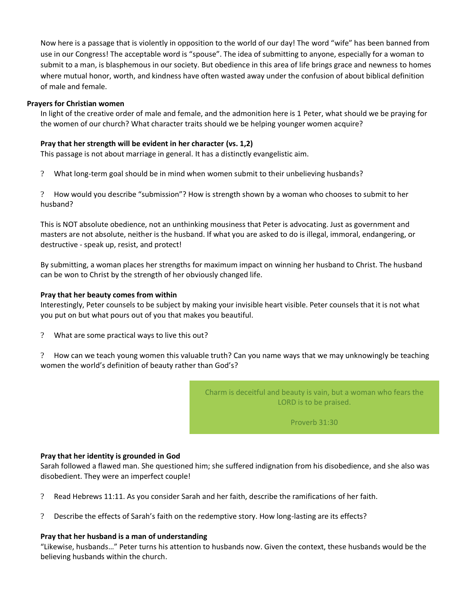Now here is a passage that is violently in opposition to the world of our day! The word "wife" has been banned from use in our Congress! The acceptable word is "spouse". The idea of submitting to anyone, especially for a woman to submit to a man, is blasphemous in our society. But obedience in this area of life brings grace and newness to homes where mutual honor, worth, and kindness have often wasted away under the confusion of about biblical definition of male and female.

# **Prayers for Christian women**

In light of the creative order of male and female, and the admonition here is 1 Peter, what should we be praying for the women of our church? What character traits should we be helping younger women acquire?

# **Pray that her strength will be evident in her character (vs. 1,2)**

This passage is not about marriage in general. It has a distinctly evangelistic aim.

? What long-term goal should be in mind when women submit to their unbelieving husbands?

? How would you describe "submission"? How is strength shown by a woman who chooses to submit to her husband?

This is NOT absolute obedience, not an unthinking mousiness that Peter is advocating. Just as government and masters are not absolute, neither is the husband. If what you are asked to do is illegal, immoral, endangering, or destructive - speak up, resist, and protect!

By submitting, a woman places her strengths for maximum impact on winning her husband to Christ. The husband can be won to Christ by the strength of her obviously changed life.

## **Pray that her beauty comes from within**

Interestingly, Peter counsels to be subject by making your invisible heart visible. Peter counsels that it is not what you put on but what pours out of you that makes you beautiful.

? What are some practical ways to live this out?

? How can we teach young women this valuable truth? Can you name ways that we may unknowingly be teaching women the world's definition of beauty rather than God's?

> Charm is deceitful and beauty is vain, but a woman who fears the LORD is to be praised.

> > Proverb 31:30

## **Pray that her identity is grounded in God**

Sarah followed a flawed man. She questioned him; she suffered indignation from his disobedience, and she also was disobedient. They were an imperfect couple!

- ? Read Hebrews 11:11. As you consider Sarah and her faith, describe the ramifications of her faith.
- ? Describe the effects of Sarah's faith on the redemptive story. How long-lasting are its effects?

## **Pray that her husband is a man of understanding**

"Likewise, husbands…" Peter turns his attention to husbands now. Given the context, these husbands would be the believing husbands within the church.